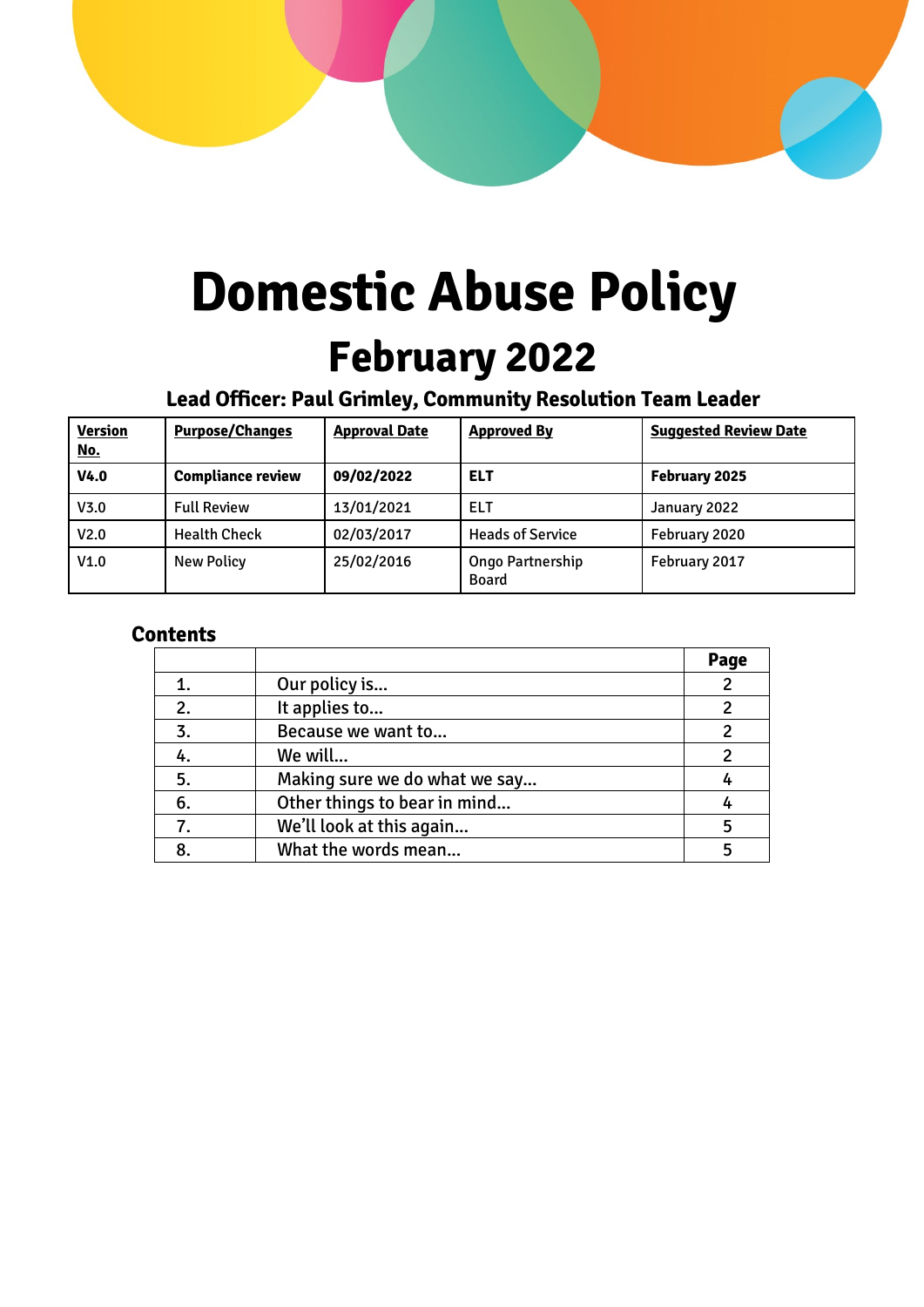

# **Domestic Abuse Policy February 2022**

# **Lead Officer: Paul Grimley, Community Resolution Team Leader**

| <b>Version</b><br><u>No.</u> | <b>Purpose/Changes</b>   | <b>Approval Date</b> | <b>Approved By</b>               | <b>Suggested Review Date</b> |
|------------------------------|--------------------------|----------------------|----------------------------------|------------------------------|
| V <sub>4.0</sub>             | <b>Compliance review</b> | 09/02/2022           | <b>ELT</b>                       | February 2025                |
| V <sub>3.0</sub>             | <b>Full Review</b>       | 13/01/2021           | ELT                              | January 2022                 |
| V <sub>2.0</sub>             | <b>Health Check</b>      | 02/03/2017           | <b>Heads of Service</b>          | February 2020                |
| V1.0                         | <b>New Policy</b>        | 25/02/2016           | Ongo Partnership<br><b>Board</b> | February 2017                |

### **Contents**

|    |                               | Page           |
|----|-------------------------------|----------------|
|    | Our policy is                 | $\overline{2}$ |
| 2. | It applies to                 | 2              |
| 3. | Because we want to            | $\mathfrak{p}$ |
|    | We will                       |                |
| 5. | Making sure we do what we say |                |
| 6. | Other things to bear in mind  |                |
|    | We'll look at this again      |                |
|    | What the words mean           |                |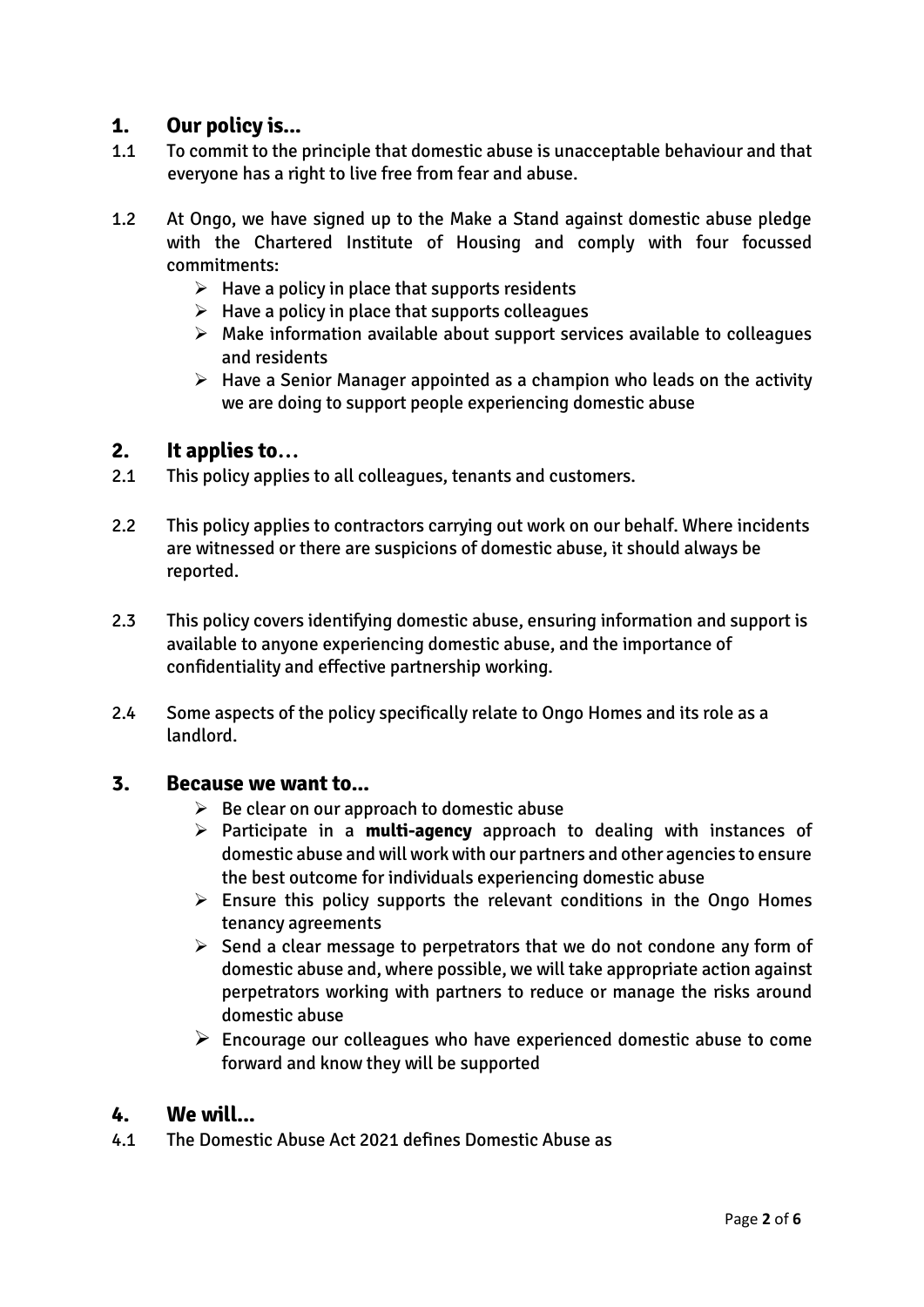### **1. Our policy is...**

- 1.1 To commit to the principle that domestic abuse is unacceptable behaviour and that everyone has a right to live free from fear and abuse.
- 1.2 At Ongo, we have signed up to the Make a Stand against domestic abuse pledge with the Chartered Institute of Housing and comply with four focussed commitments:
	- $\triangleright$  Have a policy in place that supports residents
	- $\triangleright$  Have a policy in place that supports colleagues
	- $\triangleright$  Make information available about support services available to colleagues and residents
	- $\triangleright$  Have a Senior Manager appointed as a champion who leads on the activity we are doing to support people experiencing domestic abuse

#### **2. It applies to…**

- 2.1 This policy applies to all colleagues, tenants and customers.
- 2.2 This policy applies to contractors carrying out work on our behalf. Where incidents are witnessed or there are suspicions of domestic abuse, it should always be reported.
- 2.3 This policy covers identifying domestic abuse, ensuring information and support is available to anyone experiencing domestic abuse, and the importance of confidentiality and effective partnership working.
- 2.4 Some aspects of the policy specifically relate to Ongo Homes and its role as a landlord.

#### **3. Because we want to...**

- $\triangleright$  Be clear on our approach to domestic abuse
- Participate in a **multi-agency** approach to dealing with instances of domestic abuse and will work with our partners and other agencies to ensure the best outcome for individuals experiencing domestic abuse
- $\triangleright$  Ensure this policy supports the relevant conditions in the Ongo Homes tenancy agreements
- $\triangleright$  Send a clear message to perpetrators that we do not condone any form of domestic abuse and, where possible, we will take appropriate action against perpetrators working with partners to reduce or manage the risks around domestic abuse
- $\triangleright$  Encourage our colleagues who have experienced domestic abuse to come forward and know they will be supported

#### **4. We will...**

4.1 The Domestic Abuse Act 2021 defines Domestic Abuse as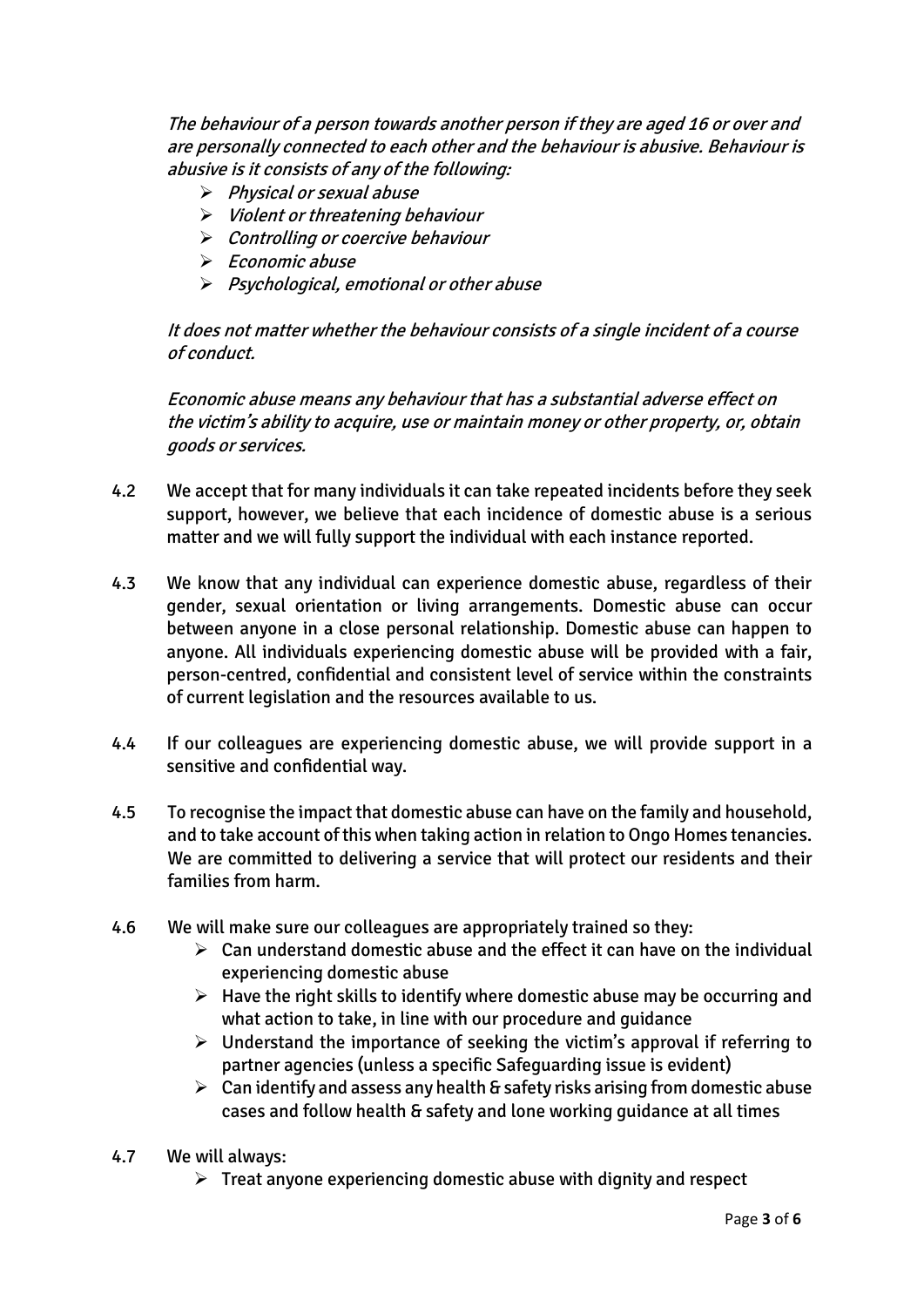The behaviour of a person towards another person if they are aged 16 or over and are personally connected to each other and the behaviour is abusive. Behaviour is abusive is it consists of any of the following:

- $\triangleright$  Physical or sexual abuse
- $\triangleright$  Violent or threatening behaviour
- $\triangleright$  Controlling or coercive behaviour
- $\triangleright$  Economic abuse
- $\triangleright$  Psychological, emotional or other abuse

It does not matter whether the behaviour consists of a single incident of a course of conduct.

Economic abuse means any behaviour that has a substantial adverse effect on the victim's ability to acquire, use or maintain money or other property, or, obtain goods or services.

- 4.2 We accept that for many individuals it can take repeated incidents before they seek support, however, we believe that each incidence of domestic abuse is a serious matter and we will fully support the individual with each instance reported.
- 4.3 We know that any individual can experience domestic abuse, regardless of their gender, sexual orientation or living arrangements. Domestic abuse can occur between anyone in a close personal relationship. Domestic abuse can happen to anyone. All individuals experiencing domestic abuse will be provided with a fair, person-centred, confidential and consistent level of service within the constraints of current legislation and the resources available to us.
- 4.4 If our colleagues are experiencing domestic abuse, we will provide support in a sensitive and confidential way.
- 4.5 To recognise the impact that domestic abuse can have on the family and household, and to take account of this when taking action in relation to Ongo Homes tenancies. We are committed to delivering a service that will protect our residents and their families from harm.
- 4.6 We will make sure our colleagues are appropriately trained so they:
	- $\triangleright$  Can understand domestic abuse and the effect it can have on the individual experiencing domestic abuse
	- $\triangleright$  Have the right skills to identify where domestic abuse may be occurring and what action to take, in line with our procedure and guidance
	- $\triangleright$  Understand the importance of seeking the victim's approval if referring to partner agencies (unless a specific Safeguarding issue is evident)
	- $\triangleright$  Can identify and assess any health & safety risks arising from domestic abuse cases and follow health & safety and lone working guidance at all times
- 4.7 We will always:
	- $\triangleright$  Treat anyone experiencing domestic abuse with dignity and respect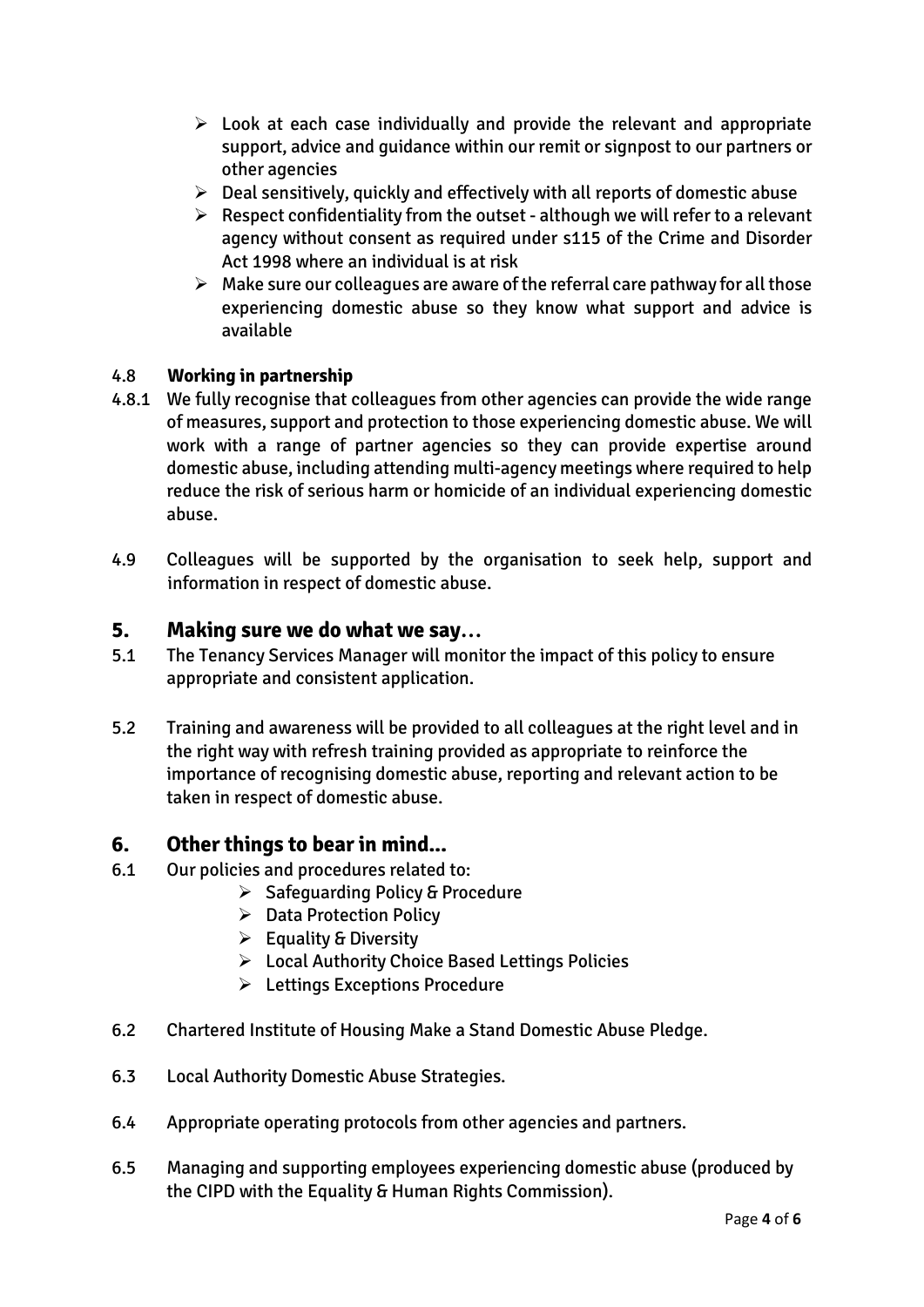- $\triangleright$  Look at each case individually and provide the relevant and appropriate support, advice and guidance within our remit or signpost to our partners or other agencies
- $\triangleright$  Deal sensitively, quickly and effectively with all reports of domestic abuse
- $\triangleright$  Respect confidentiality from the outset although we will refer to a relevant agency without consent as required under s115 of the Crime and Disorder Act 1998 where an individual is at risk
- $\triangleright$  Make sure our colleagues are aware of the referral care pathway for all those experiencing domestic abuse so they know what support and advice is available

#### 4.8 **Working in partnership**

- 4.8.1 We fully recognise that colleagues from other agencies can provide the wide range of measures, support and protection to those experiencing domestic abuse. We will work with a range of partner agencies so they can provide expertise around domestic abuse, including attending multi-agency meetings where required to help reduce the risk of serious harm or homicide of an individual experiencing domestic abuse.
- 4.9 Colleagues will be supported by the organisation to seek help, support and information in respect of domestic abuse.

#### **5. Making sure we do what we say…**

- 5.1 The Tenancy Services Manager will monitor the impact of this policy to ensure appropriate and consistent application.
- 5.2 Training and awareness will be provided to all colleagues at the right level and in the right way with refresh training provided as appropriate to reinforce the importance of recognising domestic abuse, reporting and relevant action to be taken in respect of domestic abuse.

#### **6. Other things to bear in mind...**

- 6.1 Our policies and procedures related to:
	- $\triangleright$  Safeguarding Policy & Procedure
	- ▶ Data Protection Policy
	- $\triangleright$  Equality & Diversity
	- Local Authority Choice Based Lettings Policies
	- Lettings Exceptions Procedure
- 6.2 Chartered Institute of Housing Make a Stand Domestic Abuse Pledge.
- 6.3 Local Authority Domestic Abuse Strategies.
- 6.4 Appropriate operating protocols from other agencies and partners.
- 6.5 Managing and supporting employees experiencing domestic abuse (produced by the CIPD with the Equality & Human Rights Commission).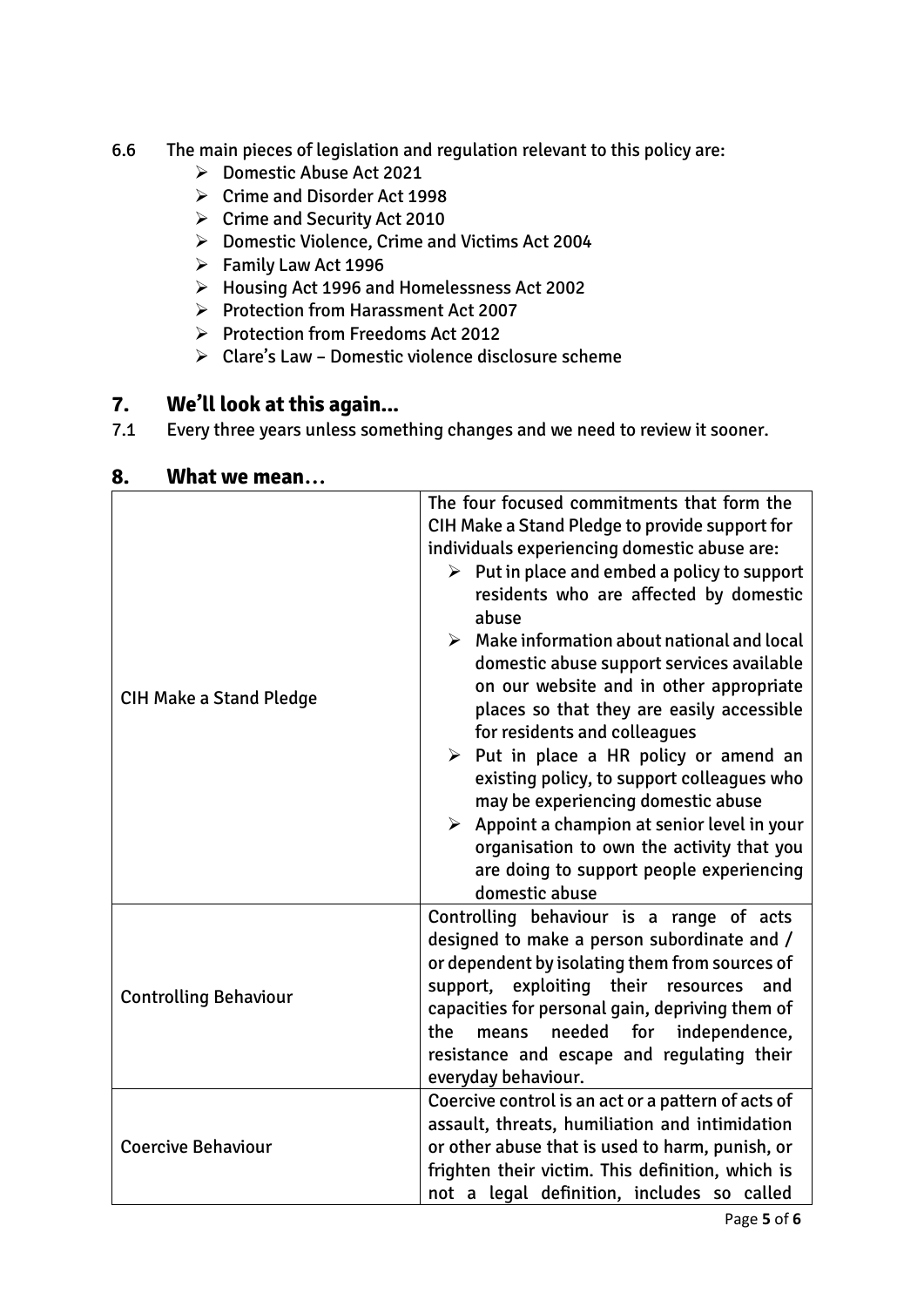- 6.6 The main pieces of legislation and regulation relevant to this policy are:
	- Domestic Abuse Act 2021
	- Crime and Disorder Act 1998
	- Crime and Security Act 2010
	- Domestic Violence, Crime and Victims Act 2004
	- $\triangleright$  Family Law Act 1996
	- Housing Act 1996 and Homelessness Act 2002
	- $\triangleright$  Protection from Harassment Act 2007
	- $\triangleright$  Protection from Freedoms Act 2012
	- $\triangleright$  Clare's Law Domestic violence disclosure scheme

## **7. We'll look at this again...**

7.1 Every three years unless something changes and we need to review it sooner.

| <b>CIH Make a Stand Pledge</b> | The four focused commitments that form the<br>CIH Make a Stand Pledge to provide support for<br>individuals experiencing domestic abuse are:<br>$\triangleright$ Put in place and embed a policy to support<br>residents who are affected by domestic<br>abuse<br>$\triangleright$ Make information about national and local<br>domestic abuse support services available<br>on our website and in other appropriate<br>places so that they are easily accessible<br>for residents and colleagues<br>$\triangleright$ Put in place a HR policy or amend an<br>existing policy, to support colleagues who<br>may be experiencing domestic abuse<br>$\triangleright$ Appoint a champion at senior level in your<br>organisation to own the activity that you<br>are doing to support people experiencing<br>domestic abuse |  |  |
|--------------------------------|--------------------------------------------------------------------------------------------------------------------------------------------------------------------------------------------------------------------------------------------------------------------------------------------------------------------------------------------------------------------------------------------------------------------------------------------------------------------------------------------------------------------------------------------------------------------------------------------------------------------------------------------------------------------------------------------------------------------------------------------------------------------------------------------------------------------------|--|--|
| <b>Controlling Behaviour</b>   | Controlling behaviour is a range of acts<br>designed to make a person subordinate and /<br>or dependent by isolating them from sources of<br>support, exploiting their resources<br>and<br>capacities for personal gain, depriving them of<br>needed<br>independence,<br>the<br>for<br>means<br>resistance and escape and regulating their<br>everyday behaviour.                                                                                                                                                                                                                                                                                                                                                                                                                                                        |  |  |
| <b>Coercive Behaviour</b>      | Coercive control is an act or a pattern of acts of<br>assault, threats, humiliation and intimidation<br>or other abuse that is used to harm, punish, or<br>frighten their victim. This definition, which is<br>not a legal definition, includes so called                                                                                                                                                                                                                                                                                                                                                                                                                                                                                                                                                                |  |  |

#### **8. What we mean…**